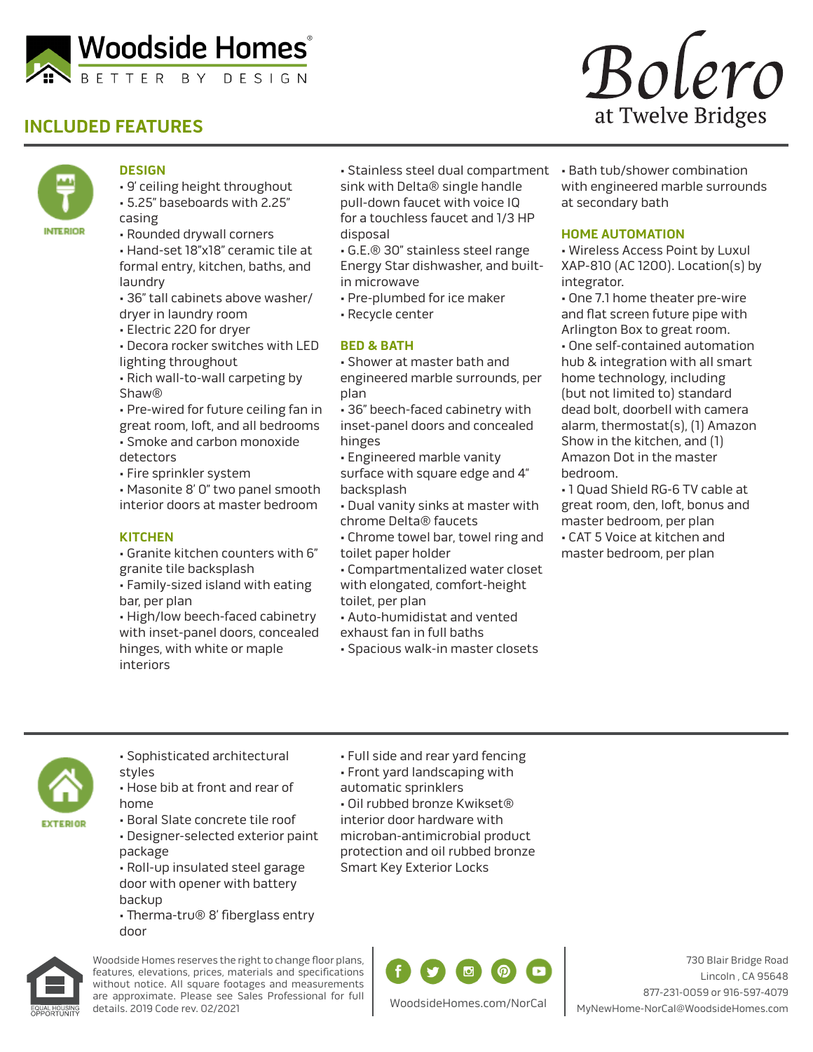

# **INCLUDED FEATURES**



### **DESIGN**

- 9' ceiling height throughout • 5.25" baseboards with 2.25" casing
- Rounded drywall corners
- Hand-set 18"x18" ceramic tile at formal entry, kitchen, baths, and laundry
- 36" tall cabinets above washer/ dryer in laundry room
- Electric 220 for dryer
- Decora rocker switches with LED lighting throughout
- Rich wall-to-wall carpeting by Shaw®
- Pre-wired for future ceiling fan in great room, loft, and all bedrooms • Smoke and carbon monoxide detectors
- Fire sprinkler system
- Masonite 8' 0" two panel smooth interior doors at master bedroom
- **KITCHEN**
- Granite kitchen counters with 6" granite tile backsplash
- Family-sized island with eating bar, per plan
- High/low beech-faced cabinetry with inset-panel doors, concealed hinges, with white or maple interiors
- Stainless steel dual compartment sink with Delta® single handle pull-down faucet with voice IQ for a touchless faucet and 1/3 HP disposal
- G.E.® 30" stainless steel range Energy Star dishwasher, and builtin microwave
- Pre-plumbed for ice maker
- Recycle center

#### **BED & BATH**

- Shower at master bath and engineered marble surrounds, per plan
- 36" beech-faced cabinetry with inset-panel doors and concealed hinges
- Engineered marble vanity surface with square edge and 4" backsplash
- Dual vanity sinks at master with chrome Delta® faucets
- Chrome towel bar, towel ring and toilet paper holder
- Compartmentalized water closet with elongated, comfort-height
- toilet, per plan
- Auto-humidistat and vented
- exhaust fan in full baths
- Spacious walk-in master closets



• Bath tub/shower combination with engineered marble surrounds at secondary bath

#### **HOME AUTOMATION**

- Wireless Access Point by Luxul XAP-810 (AC 1200). Location(s) by integrator.
- One 7.1 home theater pre-wire and flat screen future pipe with Arlington Box to great room.
- One self-contained automation hub & integration with all smart home technology, including (but not limited to) standard dead bolt, doorbell with camera alarm, thermostat(s), (1) Amazon Show in the kitchen, and (1) Amazon Dot in the master bedroom.
- 1 Quad Shield RG-6 TV cable at great room, den, loft, bonus and master bedroom, per plan • CAT 5 Voice at kitchen and master bedroom, per plan



- Sophisticated architectural
- styles • Hose bib at front and rear of home
- Boral Slate concrete tile roof
- Designer-selected exterior paint package • Roll-up insulated steel garage
- door with opener with battery backup
- Therma-tru® 8' fiberglass entry door



Woodside Homes reserves the right to change floor plans, features, elevations, prices, materials and specifications without notice. All square footages and measurements are approximate. Please see Sales Professional for full details. 2019 Code rev. 02/2021

- Full side and rear yard fencing
- Front yard landscaping with
- automatic sprinklers

• Oil rubbed bronze Kwikset® interior door hardware with microban-antimicrobial product protection and oil rubbed bronze Smart Key Exterior Locks



730 Blair Bridge Road Lincoln , CA 95648 877-231-0059 or 916-597-4079 MyNewHome-NorCal@WoodsideHomes.com